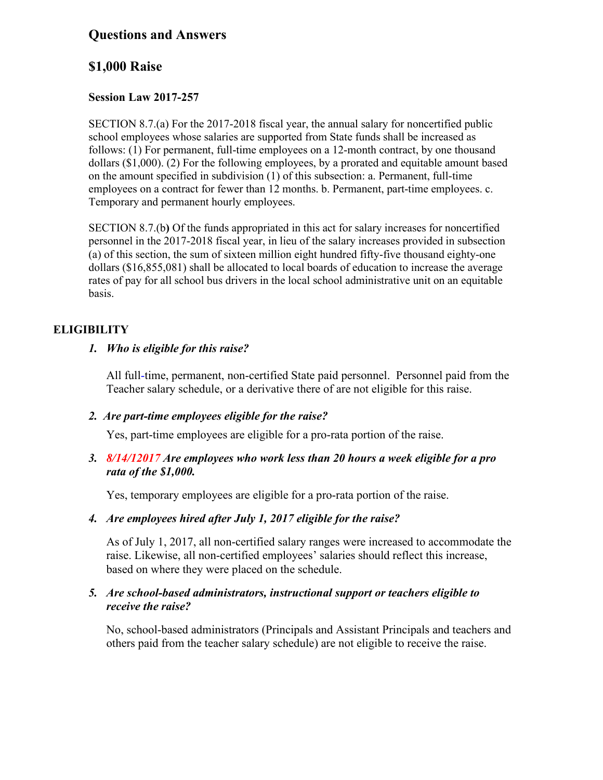# **Questions and Answers**

# **\$1,000 Raise**

## **Session Law 2017-257**

SECTION 8.7.(a) For the 2017-2018 fiscal year, the annual salary for noncertified public school employees whose salaries are supported from State funds shall be increased as follows: (1) For permanent, full-time employees on a 12-month contract, by one thousand dollars (\$1,000). (2) For the following employees, by a prorated and equitable amount based on the amount specified in subdivision (1) of this subsection: a. Permanent, full-time employees on a contract for fewer than 12 months. b. Permanent, part-time employees. c. Temporary and permanent hourly employees.

SECTION 8.7.(b**)** Of the funds appropriated in this act for salary increases for noncertified personnel in the 2017-2018 fiscal year, in lieu of the salary increases provided in subsection (a) of this section, the sum of sixteen million eight hundred fifty-five thousand eighty-one dollars (\$16,855,081) shall be allocated to local boards of education to increase the average rates of pay for all school bus drivers in the local school administrative unit on an equitable basis.

## **ELIGIBILITY**

## *1. Who is eligible for this raise?*

All full-time, permanent, non-certified State paid personnel. Personnel paid from the Teacher salary schedule, or a derivative there of are not eligible for this raise.

### *2. Are part-time employees eligible for the raise?*

Yes, part-time employees are eligible for a pro-rata portion of the raise.

## *3. 8/14/12017 Are employees who work less than 20 hours a week eligible for a pro rata of the \$1,000.*

Yes, temporary employees are eligible for a pro-rata portion of the raise.

## *4. Are employees hired after July 1, 2017 eligible for the raise?*

As of July 1, 2017, all non-certified salary ranges were increased to accommodate the raise. Likewise, all non-certified employees' salaries should reflect this increase, based on where they were placed on the schedule.

### *5. Are school-based administrators, instructional support or teachers eligible to receive the raise?*

No, school-based administrators (Principals and Assistant Principals and teachers and others paid from the teacher salary schedule) are not eligible to receive the raise.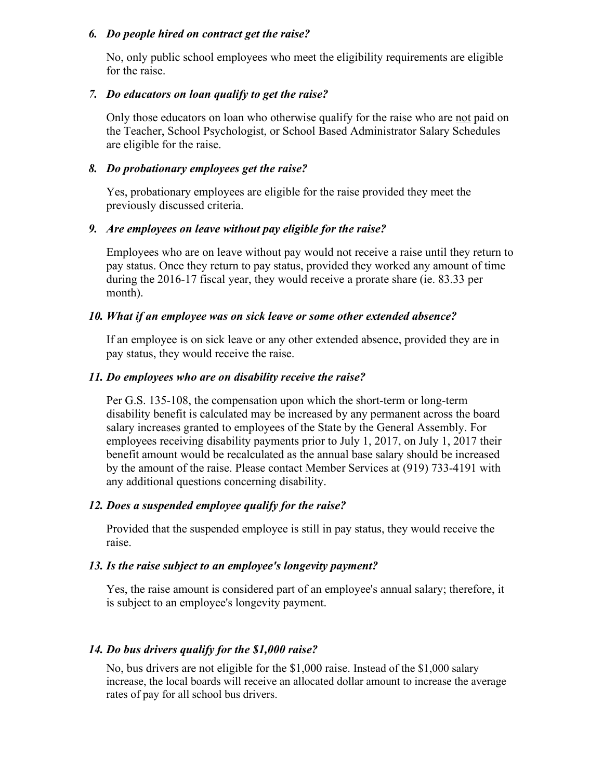#### *6. Do people hired on contract get the raise?*

No, only public school employees who meet the eligibility requirements are eligible for the raise.

#### *7. Do educators on loan qualify to get the raise?*

Only those educators on loan who otherwise qualify for the raise who are not paid on the Teacher, School Psychologist, or School Based Administrator Salary Schedules are eligible for the raise.

#### *8. Do probationary employees get the raise?*

Yes, probationary employees are eligible for the raise provided they meet the previously discussed criteria.

#### *9. Are employees on leave without pay eligible for the raise?*

Employees who are on leave without pay would not receive a raise until they return to pay status. Once they return to pay status, provided they worked any amount of time during the 2016-17 fiscal year, they would receive a prorate share (ie. 83.33 per month).

#### *10. What if an employee was on sick leave or some other extended absence?*

If an employee is on sick leave or any other extended absence, provided they are in pay status, they would receive the raise.

#### *11. Do employees who are on disability receive the raise?*

Per G.S. 135-108, the compensation upon which the short-term or long-term disability benefit is calculated may be increased by any permanent across the board salary increases granted to employees of the State by the General Assembly. For employees receiving disability payments prior to July 1, 2017, on July 1, 2017 their benefit amount would be recalculated as the annual base salary should be increased by the amount of the raise. Please contact Member Services at (919) 733-4191 with any additional questions concerning disability.

#### *12. Does a suspended employee qualify for the raise?*

Provided that the suspended employee is still in pay status, they would receive the raise.

#### *13. Is the raise subject to an employee's longevity payment?*

Yes, the raise amount is considered part of an employee's annual salary; therefore, it is subject to an employee's longevity payment.

#### *14. Do bus drivers qualify for the \$1,000 raise?*

No, bus drivers are not eligible for the \$1,000 raise. Instead of the \$1,000 salary increase, the local boards will receive an allocated dollar amount to increase the average rates of pay for all school bus drivers.